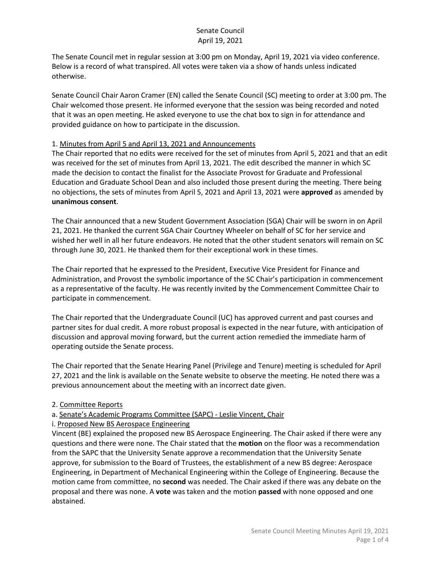The Senate Council met in regular session at 3:00 pm on Monday, April 19, 2021 via video conference. Below is a record of what transpired. All votes were taken via a show of hands unless indicated otherwise.

Senate Council Chair Aaron Cramer (EN) called the Senate Council (SC) meeting to order at 3:00 pm. The Chair welcomed those present. He informed everyone that the session was being recorded and noted that it was an open meeting. He asked everyone to use the chat box to sign in for attendance and provided guidance on how to participate in the discussion.

### 1. Minutes from April 5 and April 13, 2021 and Announcements

The Chair reported that no edits were received for the set of minutes from April 5, 2021 and that an edit was received for the set of minutes from April 13, 2021. The edit described the manner in which SC made the decision to contact the finalist for the Associate Provost for Graduate and Professional Education and Graduate School Dean and also included those present during the meeting. There being no objections, the sets of minutes from April 5, 2021 and April 13, 2021 were **approved** as amended by **unanimous consent**.

The Chair announced that a new Student Government Association (SGA) Chair will be sworn in on April 21, 2021. He thanked the current SGA Chair Courtney Wheeler on behalf of SC for her service and wished her well in all her future endeavors. He noted that the other student senators will remain on SC through June 30, 2021. He thanked them for their exceptional work in these times.

The Chair reported that he expressed to the President, Executive Vice President for Finance and Administration, and Provost the symbolic importance of the SC Chair's participation in commencement as a representative of the faculty. He was recently invited by the Commencement Committee Chair to participate in commencement.

The Chair reported that the Undergraduate Council (UC) has approved current and past courses and partner sites for dual credit. A more robust proposal is expected in the near future, with anticipation of discussion and approval moving forward, but the current action remedied the immediate harm of operating outside the Senate process.

The Chair reported that the Senate Hearing Panel (Privilege and Tenure) meeting is scheduled for April 27, 2021 and the link is available on the Senate website to observe the meeting. He noted there was a previous announcement about the meeting with an incorrect date given.

## 2. Committee Reports

a. Senate's Academic Programs Committee (SAPC) - Leslie Vincent, Chair

i. Proposed New BS Aerospace Engineering

Vincent (BE) explained the proposed new BS Aerospace Engineering. The Chair asked if there were any questions and there were none. The Chair stated that the **motion** on the floor was a recommendation from the SAPC that the University Senate approve a recommendation that the University Senate approve, for submission to the Board of Trustees, the establishment of a new BS degree: Aerospace Engineering, in Department of Mechanical Engineering within the College of Engineering. Because the motion came from committee, no **second** was needed. The Chair asked if there was any debate on the proposal and there was none. A **vote** was taken and the motion **passed** with none opposed and one abstained.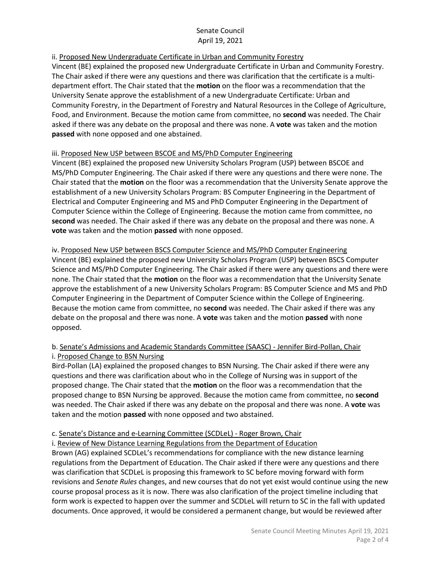# ii. Proposed New Undergraduate Certificate in Urban and Community Forestry

Vincent (BE) explained the proposed new Undergraduate Certificate in Urban and Community Forestry. The Chair asked if there were any questions and there was clarification that the certificate is a multidepartment effort. The Chair stated that the **motion** on the floor was a recommendation that the University Senate approve the establishment of a new Undergraduate Certificate: Urban and Community Forestry, in the Department of Forestry and Natural Resources in the College of Agriculture, Food, and Environment. Because the motion came from committee, no **second** was needed. The Chair asked if there was any debate on the proposal and there was none. A **vote** was taken and the motion **passed** with none opposed and one abstained.

## iii. Proposed New USP between BSCOE and MS/PhD Computer Engineering

Vincent (BE) explained the proposed new University Scholars Program (USP) between BSCOE and MS/PhD Computer Engineering. The Chair asked if there were any questions and there were none. The Chair stated that the **motion** on the floor was a recommendation that the University Senate approve the establishment of a new University Scholars Program: BS Computer Engineering in the Department of Electrical and Computer Engineering and MS and PhD Computer Engineering in the Department of Computer Science within the College of Engineering. Because the motion came from committee, no **second** was needed. The Chair asked if there was any debate on the proposal and there was none. A **vote** was taken and the motion **passed** with none opposed.

## iv. Proposed New USP between BSCS Computer Science and MS/PhD Computer Engineering

Vincent (BE) explained the proposed new University Scholars Program (USP) between BSCS Computer Science and MS/PhD Computer Engineering. The Chair asked if there were any questions and there were none. The Chair stated that the **motion** on the floor was a recommendation that the University Senate approve the establishment of a new University Scholars Program: BS Computer Science and MS and PhD Computer Engineering in the Department of Computer Science within the College of Engineering. Because the motion came from committee, no **second** was needed. The Chair asked if there was any debate on the proposal and there was none. A **vote** was taken and the motion **passed** with none opposed.

# b. Senate's Admissions and Academic Standards Committee (SAASC) - Jennifer Bird-Pollan, Chair i. Proposed Change to BSN Nursing

Bird-Pollan (LA) explained the proposed changes to BSN Nursing. The Chair asked if there were any questions and there was clarification about who in the College of Nursing was in support of the proposed change. The Chair stated that the **motion** on the floor was a recommendation that the proposed change to BSN Nursing be approved. Because the motion came from committee, no **second** was needed. The Chair asked if there was any debate on the proposal and there was none. A **vote** was taken and the motion **passed** with none opposed and two abstained.

## c. Senate's Distance and e-Learning Committee (SCDLeL) - Roger Brown, Chair

i. Review of New Distance Learning Regulations from the Department of Education

Brown (AG) explained SCDLeL's recommendations for compliance with the new distance learning regulations from the Department of Education. The Chair asked if there were any questions and there was clarification that SCDLeL is proposing this framework to SC before moving forward with form revisions and *Senate Rules* changes, and new courses that do not yet exist would continue using the new course proposal process as it is now. There was also clarification of the project timeline including that form work is expected to happen over the summer and SCDLeL will return to SC in the fall with updated documents. Once approved, it would be considered a permanent change, but would be reviewed after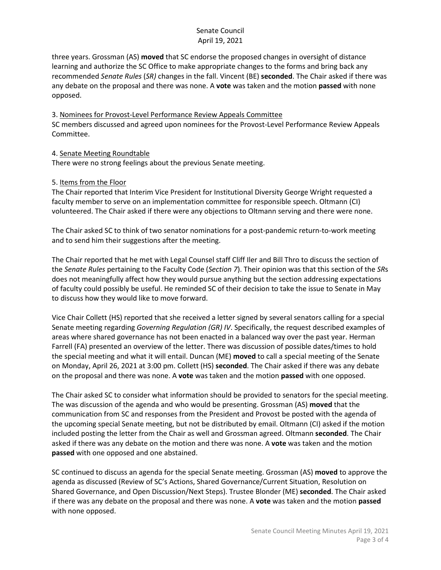three years. Grossman (AS) **moved** that SC endorse the proposed changes in oversight of distance learning and authorize the SC Office to make appropriate changes to the forms and bring back any recommended *Senate Rules* (*SR)* changes in the fall. Vincent (BE) **seconded**. The Chair asked if there was any debate on the proposal and there was none. A **vote** was taken and the motion **passed** with none opposed.

3. Nominees for Provost-Level Performance Review Appeals Committee SC members discussed and agreed upon nominees for the Provost-Level Performance Review Appeals Committee.

### 4. Senate Meeting Roundtable

There were no strong feelings about the previous Senate meeting.

### 5. Items from the Floor

The Chair reported that Interim Vice President for Institutional Diversity George Wright requested a faculty member to serve on an implementation committee for responsible speech. Oltmann (CI) volunteered. The Chair asked if there were any objections to Oltmann serving and there were none.

The Chair asked SC to think of two senator nominations for a post-pandemic return-to-work meeting and to send him their suggestions after the meeting.

The Chair reported that he met with Legal Counsel staff Cliff Iler and Bill Thro to discuss the section of the *Senate Rules* pertaining to the Faculty Code (*Section 7*). Their opinion was that this section of the *SR*s does not meaningfully affect how they would pursue anything but the section addressing expectations of faculty could possibly be useful. He reminded SC of their decision to take the issue to Senate in May to discuss how they would like to move forward.

Vice Chair Collett (HS) reported that she received a letter signed by several senators calling for a special Senate meeting regarding *Governing Regulation (GR) IV*. Specifically, the request described examples of areas where shared governance has not been enacted in a balanced way over the past year. Herman Farrell (FA) presented an overview of the letter. There was discussion of possible dates/times to hold the special meeting and what it will entail. Duncan (ME) **moved** to call a special meeting of the Senate on Monday, April 26, 2021 at 3:00 pm. Collett (HS) **seconded**. The Chair asked if there was any debate on the proposal and there was none. A **vote** was taken and the motion **passed** with one opposed.

The Chair asked SC to consider what information should be provided to senators for the special meeting. The was discussion of the agenda and who would be presenting. Grossman (AS) **moved** that the communication from SC and responses from the President and Provost be posted with the agenda of the upcoming special Senate meeting, but not be distributed by email. Oltmann (CI) asked if the motion included posting the letter from the Chair as well and Grossman agreed. Oltmann **seconded**. The Chair asked if there was any debate on the motion and there was none. A **vote** was taken and the motion **passed** with one opposed and one abstained.

SC continued to discuss an agenda for the special Senate meeting. Grossman (AS) **moved** to approve the agenda as discussed (Review of SC's Actions, Shared Governance/Current Situation, Resolution on Shared Governance, and Open Discussion/Next Steps). Trustee Blonder (ME) **seconded**. The Chair asked if there was any debate on the proposal and there was none. A **vote** was taken and the motion **passed** with none opposed.